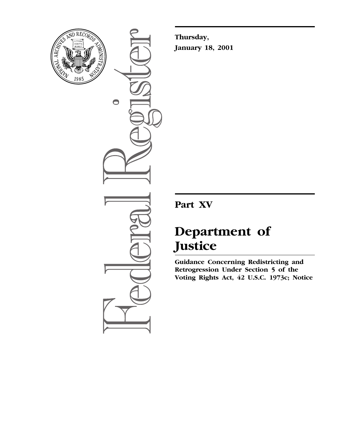

 $\bullet$ 

**Thursday, January 18, 2001**

**Part XV**

# **Department of Justice**

**Guidance Concerning Redistricting and Retrogression Under Section 5 of the Voting Rights Act, 42 U.S.C. 1973c; Notice**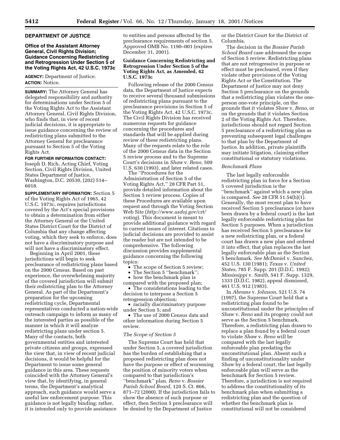#### **DEPARTMENT OF JUSTICE**

# **Office of the Assistant Attorney General, Civil Rights Division; Guidance Concerning Redistricting and Retrogression Under Section 5 of the Voting Rights Act, 42 U.S.C. 1973c**

**AGENCY:** Department of Justice. **ACTION:** Notice.

**SUMMARY:** The Attorney General has delegated responsibility and authority for determinations under Section 5 of the Voting Rights Act to the Assistant Attorney General, Civil Rights Division, who finds that, in view of recent judicial decisions, it is appropriate to issue guidance concerning the review of redistricting plans submitted to the Attorney General for preclearance pursuant to Section 5 of the Voting Rights Act.

# **FOR FURTHER INFORMATION CONTACT:**

Joseph D. Rich, Acting Chief, Voting Section, Civil Rights Division, United States Department of Justice, Washington, D.C. 20530, (202) 514– 6018.

**SUPPLEMENTARY INFORMATION:** Section 5 of the Voting Rights Act of 1965, 42 U.S.C. 1973c, requires jurisdictions covered by the Act's special provisions to obtain a determination from either the Attorney General or the United States District Court for the District of Columbia that any change affecting voting, which they seek to enforce, does not have a discriminatory purpose and will not have a discriminatory effect.

Beginning in April 2001, these jurisdictions will begin to seek preclearance of redistricting plans based on the 2000 Census. Based on past experience, the overwhelming majority of the covered jurisdiction will submit their redistricting plan to the Attorney General. As part of the Department's preparation for the upcoming redistricting cycle, Departmental representatives conducted a nation-wide outreach campaign to inform as many of the interested parties as possible of the manner in which it will analyze redistricting plans under section 5. Many of the contacts, both governmental entities and interested private citizens and groups, expressed the view that, in view of recent judicial decisions, it would be helpful for the Department to issue some general guidance in this area. These requests coincided with the Attorney General's view that, by identifying, in general terms, the Department's analytical approach, such guidance would serve a useful law enforcement purpose. This guidance is not legally binding; rather, it is intended only to provide assistance

to entities and persons affected by the preclearance requirements of section 5. Approved OMB No. 1190–001 (expires December 31, 2001).

# **Guidance Concerning Redistricting and Retrogression Under Section 5 of the Voting Rights Act, as Amended, 42 U.S.C. 1973c**

Following release of the 2000 Census data, the Department of Justice expects to receive several thousand submissions of redistricting plans pursuant to the preclearance provisions in Section 5 of the Voting Rights Act, 42 U.S.C. 1973c. The Civil Rights Division has received numerous requests for guidance concerning the procedures and standards that will be applied during review of these redistricting plans. Many of the requests relate to the role of the 2000 Census data in the Section 5 review process and to the Supreme Court's decisions in *Shaw* v. *Reno,* 509 U.S. 630 (1993), and later related cases.

The ''Procedures for the Administration of Section 5 of the Voting Rights Act,'' 28 CFR Part 51, provide detailed information about the Section 5 review process. Copies of these Procedures are available upon request and through the Voting Section Web Site (*http://www.usdoj.gov/crt/ voting*). This document is meant to provide additional guidance with regard to current issues of interest. Citations to judicial decisions are provided to assist the reader but are not intended to be comprehensive. The following discussion provides supplemental guidance concerning the following topics:

• The scope of Section 5 review;

- The Section 5 ''benchmark'';
- how the benchmark plan is

compared with the proposed plan; • The considerations leading to the decision to interpose a Section 5

retrogression objection; • racially discriminatory purpose under Section 5; and

• The use of 2000 Census data and other information during Section 5 review.

#### *The Scope of Section 5*

The Supreme Court has held that under Section 5, a covered jurisdiction has the burden of establishing that a proposed redistricting plan does not have the purpose or effect of worsening the position of minority voters when compared to that jurisdiction's ''benchmark'' plan. *Reno* v. *Bossier Parish School Board,* 120 S. Ct. 866, 871–72 (2000). If the jurisdiction fails to show the absence of such purpose or effect, then Section 5 preclearance will be denied by the Department of Justice

or the District Court for the District of Columbia.

The decision in the *Bossier Parish School Board* case addressed the scope of Section 5 review. Redistricting plans that are not retrogressive in purpose or effect must be precleared, even if they violate other provisions of the Voting Rights Act or the Constitution. The Department of Justice may not deny Section 5 preclearance on the grounds that a redistricting plan violates the oneperson one-vote principle, on the grounds that it violates *Shaw* v. *Reno,* or on the grounds that it violates Section 2 of the Voting Rights Act. Therefore, jurisdictions should not regard Section 5 preclearance of a redistricting plan as preventing subsequent legal challenges to that plan by the Department of Justice. In addition, private plaintiffs may initiate litigation, claiming either constitutional or statutory violations.

#### *Benchmark Plans*

The last legally enforceable redistricting plan in force for a Section 5 covered jurisdiction is the ''benchmark'' against which a new plan is compared. *See* 28 CFR 51.54(b)(1). Generally, the most recent plan to have received Section 5 preclearance (or have been drawn by a federal court) is the last legally enforceable redistricting plan for Section 5 purposes. When a jurisdiction has received Section 5 preclearance for a new redistricting plan, or a federal court has drawn a new plan and ordered it into effect, that plan replaces the last legally enforceable plan as the Section 5 benchmark. *See McDanie*l v. *Sanchez,* 452 U.S. 130 (1981); *Texas* v. *United States,* 785 F. Supp. 201 (D.D.C. 1992); *Mississippi* v. *Smith,* 541 F. Supp. 1329, 1333 (D.D.C. 1982), appeal dismissed, 461 U.S. 912 (1983).

In *Abrams* v. *Johnson,* 521 U.S. 74 (1997), the Supreme Court held that a redistricting plan found to be unconstitutional under the principles of *Shaw* v. *Reno* and its progeny could not serve as the Section 5 benchmark. Therefore, a redistricting plan drawn to replace a plan found by a federal court to violate *Shaw* v. *Reno* will be compared with the last legally enforceable plan predating the unconstitutional plan. Absent such a finding of unconstitutionality under *Shaw* by a federal court, the last legally enforceable plan will serve as the benchmark for Section 5 review. Therefore, a jurisdiction is not required to address the constitutionality of its benchmark plan when submitting a redistricting plan and the question of whether the benchmark plan is constitutional will not be considered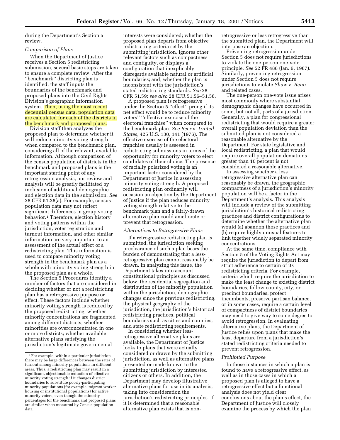during the Department's Section 5 review.

#### *Comparison of Plans*

When the Department of Justice receives a Section 5 redistricting submission, several basic steps are taken to ensure a complete review. After the ''benchmark'' districting plan is identified, the staff inputs the boundaries of the benchmark and proposed plans into the Civil Rights Division's geographic information system. Then, using the most recent decennial census data, population data are calculated for each of the districts in the benchmark and proposed plans.

Division staff then analyzes the proposed plan to determine whether it will reduce minority voting strength when compared to the benchmark plan, considering all of the relevant, available information. Although comparison of the census population of districts in the benchmark and proposed plans is the important starting point of any retrogression analysis, our review and analysis will be greatly facilitated by inclusion of additional demographic and election data in the submission. *See* 28 CFR 51.28(a). For example, census population data may not reflect significant differences in group voting behavior.1 Therefore, election history and voting patterns within the jurisdiction, voter registration and turnout information, and other similar information are very important to an assessment of the actual effect of a redistricting plan. This information is used to compare minority voting strength in the benchmark plan as a whole with minority voting strength in the proposed plan as a whole.

The Section 5 Procedures identify a number of factors that are considered in deciding whether or not a redistricting plan has a retrogressive purpose or effect. These factors include whether minority voting strength is reduced by the proposed redistricting; whether minority concentrations are fragmented among different districts; whether minorities are overconcentrated in one or more districts; whether available alternative plans satisfying the jurisdiction's legitimate governmental

interests were considered; whether the proposed plan departs from objective redistricting criteria set by the submitting jurisdiction, ignores other relevant factors such as compactness and contiguity, or displays a configuration that inexplicably disregards available natural or artificial boundaries; and, whether the plan is inconsistent with the jurisdiction's stated redistricting standards. *See* 28 CFR 51.59; *see also* 28 CFR 51.56–51.58.

A proposed plan is retrogressive under the Section 5 ''effect'' prong if its net effect would be to reduce minority voters'' ''effective exercise of the electoral franchise'' when compared to the benchmark plan. *See Beer* v. *United States,* 425 U.S. 130, 141 (1976). The effective exercise of the electoral franchise usually is assessed in redistricting submissions in terms of the opportunity for minority voters to elect candidates of their choice. The presence of racially polarized voting is an important factor considered by the Department of Justice in assessing minority voting strength. A proposed redistricting plan ordinarily will occasion an objection by the Department of Justice if the plan reduces minority voting strength relative to the benchmark plan and a fairly-drawn alternative plan could ameliorate or prevent that retrogression.

# *Alternatives to Retrogressive Plans*

If a retrogressive redistricting plan is submitted, the jurisdiction seeking preclearance of such a plan bears the burden of demonstrating that a lessretrogressive plan cannot reasonably be drawn. In analyzing this issue, the Department takes into account constitutional principles as discussed below, the residential segregation and distribution of the minority population within the jurisdiction, demographic changes since the previous redistricting, the physical geography of the jurisdiction, the jurisdiction's historical redistricting practices, political boundaries such as cities and counties, and state redistricting requirements.

In considering whether lessretrogressive alternative plans are available, the Department of Justice looks to plans that were actually considered or drawn by the submitting jurisdiction, as well as alternative plans presented or made known to the submitting jurisdiction by interested citizens or others. In addition, the Department may develop illustrative alternative plans for use in its analysis, taking into consideration the jurisdiction's redistricting principles. If it is determined that a reasonable alternative plan exists that is nonretrogressive or less retrogressive than the submitted plan, the Department will interpose an objection.

Preventing retrogression under Section 5 does not require jurisdictions to violate the one-person one-vote principle. *See* 52 FR 488 (Jan. 6, 1987). Similarly, preventing retrogression under Section 5 does not require jurisdictions to violate *Shaw* v. *Reno* and related cases.

The one-person one-vote issue arises most commonly where substantial demographic changes have occurred in some, but not all, parts of a jurisdiction. Generally, a plan for congressional redistricting that would require a greater overall population deviation than the submitted plan is not considered a reasonable alternative by the Department. For state legislative and local redistricting, a plan that would require overall population deviations greater than 10 percent is not considered a reasonable alternative.

In assessing whether a less retrogressive alternative plan can reasonably be drawn, the geographic compactness of a jurisdiction's minority population will be a factor in the Department's analysis. This analysis will include a review of the submitting jurisdiction's historical redistricting practices and district configurations to determine whether the alternative plan would (a) abandon those practices and (b) require highly unusual features to link together widely separated minority concentrations.

At the same time, compliance with Section 5 of the Voting Rights Act may require the jurisdiction to depart from strict adherence to certain of its redistricting criteria. For example, criteria which require the jurisdiction to make the least change to existing district boundaries, follow county, city, or precinct boundaries, protect incumbents, preserve partisan balance, or in some cases, require a certain level of compactness of district boundaries may need to give way to some degree to avoid retrogression. In evaluating alternative plans, the Department of Justice relies upon plans that make the least departure from a jurisdiction's stated redistricting criteria needed to prevent retrogression.

#### *Prohibited Purpose*

In those instances in which a plan is found to have a retrogressive effect, as well as in those cases in which a proposed plan is alleged to have a retrogressive effect but a functional analysis does not yield clear conclusions about the plan's effect, the Department of Justice will closely examine the process by which the plan

<sup>1</sup>For example, within a particular jurisdiction there may be large differences between the rates of turnout among minority populations in different areas. Thus, a redistricting plan may result in a significant, objectionable reduction of effective minority voting strength if it changes district boundaries to substitute poorly-participating minority populations (for example, migrant worker housing or institutional populations) for active minority voters, even though the minority percentages for the benchmark and proposed plans are similar when measured by Census population data.